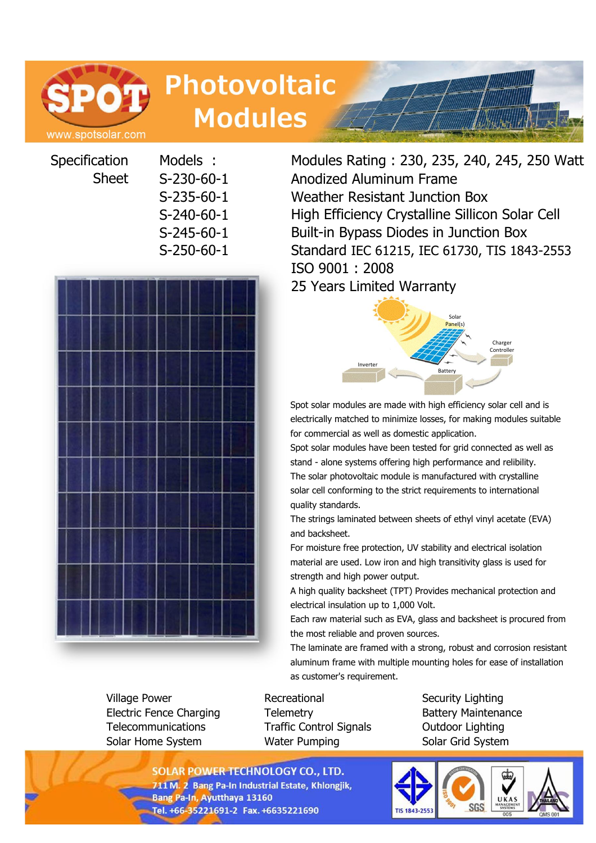

# **Photovoltaic Modules**

**Specification** Sheet



Village Power **Recreational** Security Lighting Electric Fence Charging Telemetry Battery Maintenance Telecommunications Traffic Control Signals Outdoor Lighting Solar Home System **Water Pumping Solar Grid System** 

Models : Modules Rating : 230, 235, 240, 245, 250 Watt S-230-60-1 Anodized Aluminum Frame S-235-60-1 Weather Resistant Junction Box S-240-60-1 High Efficiency Crystalline Sillicon Solar Cell S-245-60-1 Built-in Bypass Diodes in Junction Box S-250-60-1 Standard IEC 61215, IEC 61730, TIS 1843-2553 ISO 9001 : 2008 25 Years Limited Warranty



Spot solar modules are made with high efficiency solar cell and is electrically matched to minimize losses, for making modules suitable for commercial as well as domestic application.

Spot solar modules have been tested for grid connected as well as stand - alone systems offering high performance and relibility. The solar photovoltaic module is manufactured with crystalline solar cell conforming to the strict requirements to international quality standards.

The strings laminated between sheets of ethyl vinyl acetate (EVA) and backsheet.

For moisture free protection, UV stability and electrical isolation material are used. Low iron and high transitivity glass is used for strength and high power output.

A high quality backsheet (TPT) Provides mechanical protection and electrical insulation up to 1,000 Volt.

Each raw material such as EVA, glass and backsheet is procured from the most reliable and proven sources.

The laminate are framed with a strong, robust and corrosion resistant aluminum frame with multiple mounting holes for ease of installation as customer's requirement.